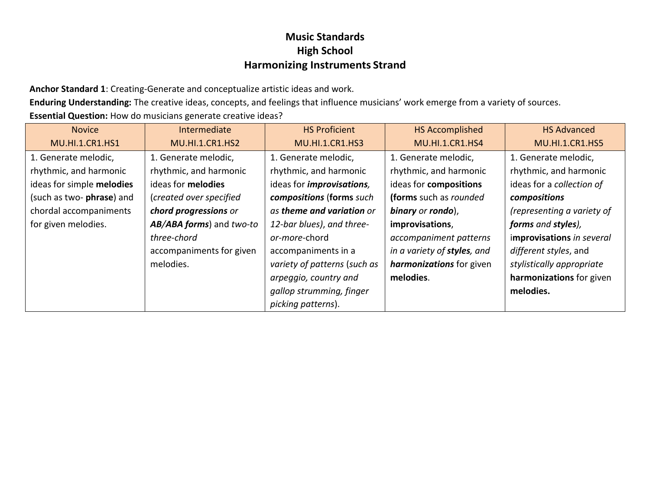**Anchor Standard 1**: Creating-Generate and conceptualize artistic ideas and work.

**Enduring Understanding:** The creative ideas, concepts, and feelings that influence musicians' work emerge from a variety of sources. **Essential Question:** How do musicians generate creative ideas?

| <b>Novice</b>             | Intermediate             | <b>HS Proficient</b>              | <b>HS Accomplished</b>      | <b>HS Advanced</b>         |
|---------------------------|--------------------------|-----------------------------------|-----------------------------|----------------------------|
| <b>MU.HI.1.CR1.HS1</b>    | <b>MU.HI.1.CR1.HS2</b>   | <b>MU.HI.1.CR1.HS3</b>            | <b>MU.HI.1.CR1.HS4</b>      | <b>MU.HI.1.CR1.HS5</b>     |
| 1. Generate melodic,      | 1. Generate melodic,     | 1. Generate melodic,              | 1. Generate melodic,        | 1. Generate melodic,       |
| rhythmic, and harmonic    | rhythmic, and harmonic   | rhythmic, and harmonic            | rhythmic, and harmonic      | rhythmic, and harmonic     |
| ideas for simple melodies | ideas for melodies       | ideas for <i>improvisations</i> , | ideas for compositions      | ideas for a collection of  |
| (such as two- phrase) and | (created over specified  | compositions (forms such          | (forms such as rounded      | compositions               |
| chordal accompaniments    | chord progressions or    | as theme and variation or         | binary or rondo),           | (representing a variety of |
| for given melodies.       | AB/ABA forms) and two-to | 12-bar blues), and three-         | improvisations,             | forms and styles),         |
|                           | three-chord              | or-more-chord                     | accompaniment patterns      | improvisations in several  |
|                           | accompaniments for given | accompaniments in a               | in a variety of styles, and | different styles, and      |
|                           | melodies.                | variety of patterns (such as      | harmonizations for given    | stylistically appropriate  |
|                           |                          | arpeggio, country and             | melodies.                   | harmonizations for given   |
|                           |                          | gallop strumming, finger          |                             | melodies.                  |
|                           |                          | picking patterns).                |                             |                            |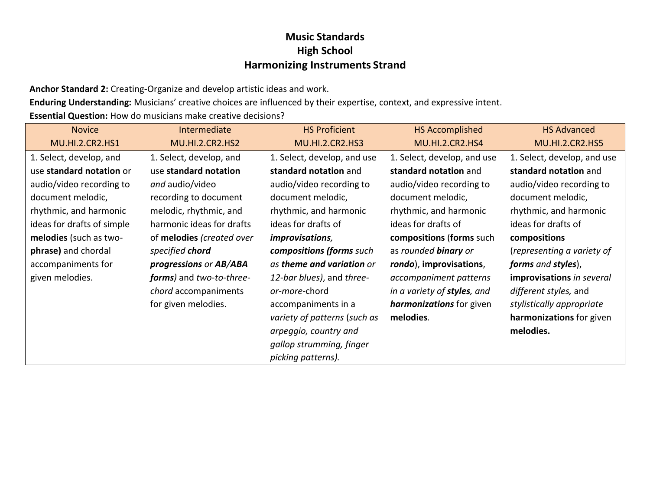**Anchor Standard 2:** Creating-Organize and develop artistic ideas and work.

**Enduring Understanding:** Musicians' creative choices are influenced by their expertise, context, and expressive intent.

**Essential Question:** How do musicians make creative decisions?

| <b>Novice</b>              | Intermediate              | <b>HS Proficient</b>         | <b>HS Accomplished</b>          | <b>HS Advanced</b>          |
|----------------------------|---------------------------|------------------------------|---------------------------------|-----------------------------|
| <b>MU.HI.2.CR2.HS1</b>     | <b>MU.HI.2.CR2.HS2</b>    | <b>MU.HI.2.CR2.HS3</b>       | <b>MU.HI.2.CR2.HS4</b>          | <b>MU.HI.2.CR2.HS5</b>      |
| 1. Select, develop, and    | 1. Select, develop, and   | 1. Select, develop, and use  | 1. Select, develop, and use     | 1. Select, develop, and use |
| use standard notation or   | use standard notation     | standard notation and        | standard notation and           | standard notation and       |
| audio/video recording to   | and audio/video           | audio/video recording to     | audio/video recording to        | audio/video recording to    |
| document melodic,          | recording to document     | document melodic,            | document melodic,               | document melodic,           |
| rhythmic, and harmonic     | melodic, rhythmic, and    | rhythmic, and harmonic       | rhythmic, and harmonic          | rhythmic, and harmonic      |
| ideas for drafts of simple | harmonic ideas for drafts | ideas for drafts of          | ideas for drafts of             | ideas for drafts of         |
| melodies (such as two-     | of melodies (created over | improvisations,              | compositions (forms such        | compositions                |
| phrase) and chordal        | specified chord           | compositions (forms such     | as rounded <b>binary</b> or     | (representing a variety of  |
| accompaniments for         | progressions or AB/ABA    | as theme and variation or    | rondo), improvisations,         | forms and styles),          |
| given melodies.            | forms) and two-to-three-  | 12-bar blues), and three-    | accompaniment patterns          | improvisations in several   |
|                            | chord accompaniments      | or-more-chord                | in a variety of styles, and     | different styles, and       |
|                            | for given melodies.       | accompaniments in a          | <i>harmonizations</i> for given | stylistically appropriate   |
|                            |                           | variety of patterns (such as | melodies.                       | harmonizations for given    |
|                            |                           | arpeggio, country and        |                                 | melodies.                   |
|                            |                           | gallop strumming, finger     |                                 |                             |
|                            |                           | picking patterns).           |                                 |                             |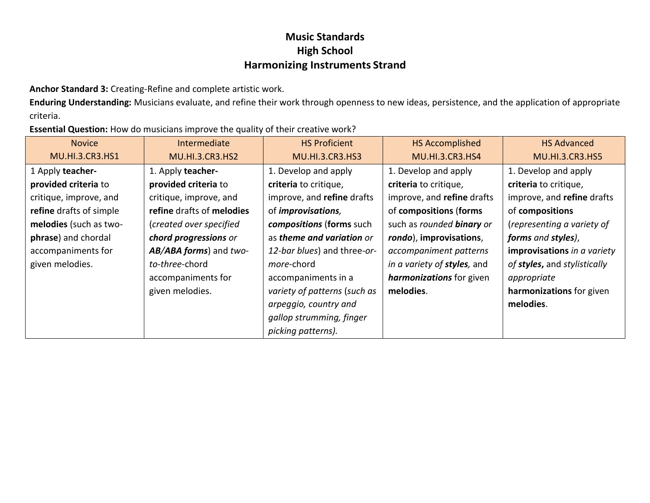**Anchor Standard 3:** Creating-Refine and complete artistic work.

**Enduring Understanding:** Musicians evaluate, and refine their work through openness to new ideas, persistence, and the application of appropriate criteria.

**Essential Question:** How do musicians improve the quality of their creative work?

| <b>Novice</b>           | Intermediate              | <b>HS Proficient</b>             | <b>HS Accomplished</b>           | <b>HS Advanced</b>           |
|-------------------------|---------------------------|----------------------------------|----------------------------------|------------------------------|
| <b>MU.HI.3.CR3.HS1</b>  | <b>MU.HI.3.CR3.HS2</b>    | <b>MU.HI.3.CR3.HS3</b>           | <b>MU.HI.3.CR3.HS4</b>           | <b>MU.HI.3.CR3.HS5</b>       |
| 1 Apply teacher-        | 1. Apply teacher-         | 1. Develop and apply             | 1. Develop and apply             | 1. Develop and apply         |
| provided criteria to    | provided criteria to      | criteria to critique,            | criteria to critique,            | criteria to critique,        |
| critique, improve, and  | critique, improve, and    | improve, and refine drafts       | improve, and refine drafts       | improve, and refine drafts   |
| refine drafts of simple | refine drafts of melodies | of <i>improvisations</i> ,       | of compositions (forms           | of compositions              |
| melodies (such as two-  | (created over specified   | compositions (forms such         | such as rounded <b>binary</b> or | (representing a variety of   |
| phrase) and chordal     | chord progressions or     | as <b>theme and variation</b> or | rondo), improvisations,          | forms and styles),           |
| accompaniments for      | AB/ABA forms) and two-    | 12-bar blues) and three-or-      | accompaniment patterns           | improvisations in a variety  |
| given melodies.         | to-three-chord            | more-chord                       | in a variety of styles, and      | of styles, and stylistically |
|                         | accompaniments for        | accompaniments in a              | harmonizations for given         | appropriate                  |
|                         | given melodies.           | variety of patterns (such as     | melodies.                        | harmonizations for given     |
|                         |                           | arpeggio, country and            |                                  | melodies.                    |
|                         |                           | gallop strumming, finger         |                                  |                              |
|                         |                           | picking patterns).               |                                  |                              |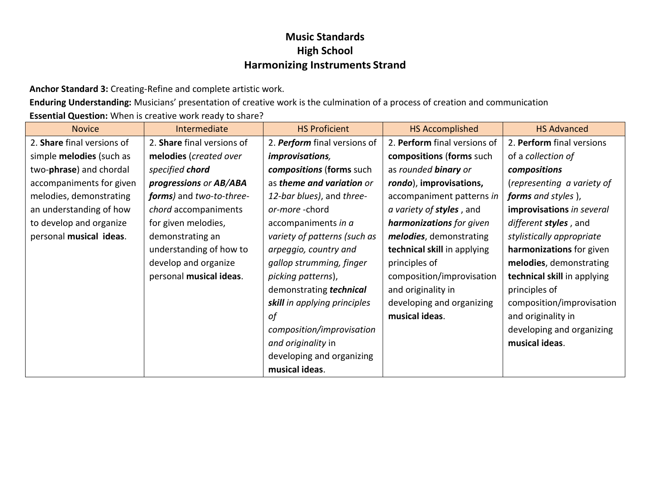**Anchor Standard 3:** Creating-Refine and complete artistic work.

**Enduring Understanding:** Musicians' presentation of creative work is the culmination of a process of creation and communication **Essential Question:** When is creative work ready to share?

| <b>Novice</b>                   | Intermediate               | <b>HS Proficient</b>         | <b>HS Accomplished</b>           | <b>HS Advanced</b>          |
|---------------------------------|----------------------------|------------------------------|----------------------------------|-----------------------------|
| 2. Share final versions of      | 2. Share final versions of | 2. Perform final versions of | 2. Perform final versions of     | 2. Perform final versions   |
| simple <b>melodies</b> (such as | melodies (created over     | <i>improvisations,</i>       | compositions (forms such         | of a collection of          |
| two-phrase) and chordal         | specified chord            | compositions (forms such     | as rounded <b>binary</b> or      | compositions                |
| accompaniments for given        | progressions or AB/ABA     | as theme and variation or    | rondo), improvisations,          | (representing a variety of  |
| melodies, demonstrating         | forms) and two-to-three-   | 12-bar blues), and three-    | accompaniment patterns in        | forms and styles),          |
| an understanding of how         | chord accompaniments       | or-more-chord                | a variety of <b>styles</b> , and | improvisations in several   |
| to develop and organize         | for given melodies,        | accompaniments in a          | harmonizations for given         | different styles, and       |
| personal musical ideas.         | demonstrating an           | variety of patterns (such as | melodies, demonstrating          | stylistically appropriate   |
|                                 | understanding of how to    | arpeggio, country and        | technical skill in applying      | harmonizations for given    |
|                                 | develop and organize       | gallop strumming, finger     | principles of                    | melodies, demonstrating     |
|                                 | personal musical ideas.    | picking patterns),           | composition/improvisation        | technical skill in applying |
|                                 |                            | demonstrating technical      | and originality in               | principles of               |
|                                 |                            | skill in applying principles | developing and organizing        | composition/improvisation   |
|                                 |                            | οf                           | musical ideas.                   | and originality in          |
|                                 |                            | composition/improvisation    |                                  | developing and organizing   |
|                                 |                            | and originality in           |                                  | musical ideas.              |
|                                 |                            | developing and organizing    |                                  |                             |
|                                 |                            | musical ideas.               |                                  |                             |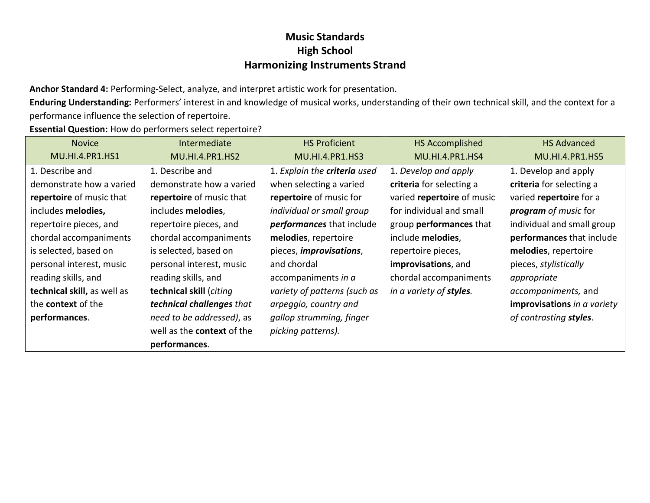**Anchor Standard 4:** Performing-Select, analyze, and interpret artistic work for presentation.

**Enduring Understanding:** Performers' interest in and knowledge of musical works, understanding of their own technical skill, and the context for a performance influence the selection of repertoire.

**Essential Question:** How do performers select repertoire?

| <b>Novice</b>               | Intermediate                      | <b>HS Proficient</b>         | <b>HS Accomplished</b>     | <b>HS Advanced</b>          |
|-----------------------------|-----------------------------------|------------------------------|----------------------------|-----------------------------|
| MU.HI.4.PR1.HS1             | <b>MU.HI.4.PR1.HS2</b>            | <b>MU.HI.4.PR1.HS3</b>       | <b>MU.HI.4.PR1.HS4</b>     | MU.HI.4.PR1.HS5             |
| 1. Describe and             | 1. Describe and                   | 1. Explain the criteria used | 1. Develop and apply       | 1. Develop and apply        |
| demonstrate how a varied    | demonstrate how a varied          | when selecting a varied      | criteria for selecting a   | criteria for selecting a    |
| repertoire of music that    | repertoire of music that          | repertoire of music for      | varied repertoire of music | varied repertoire for a     |
| includes melodies,          | includes melodies,                | individual or small group    | for individual and small   | <b>program</b> of music for |
| repertoire pieces, and      | repertoire pieces, and            | performances that include    | group performances that    | individual and small group  |
| chordal accompaniments      | chordal accompaniments            | melodies, repertoire         | include melodies,          | performances that include   |
| is selected, based on       | is selected, based on             | pieces, improvisations,      | repertoire pieces,         | melodies, repertoire        |
| personal interest, music    | personal interest, music          | and chordal                  | improvisations, and        | pieces, stylistically       |
| reading skills, and         | reading skills, and               | accompaniments in a          | chordal accompaniments     | appropriate                 |
| technical skill, as well as | technical skill (citing           | variety of patterns (such as | in a variety of styles.    | accompaniments, and         |
| the <b>context</b> of the   | technical challenges that         | arpeggio, country and        |                            | improvisations in a variety |
| performances.               | need to be addressed), as         | gallop strumming, finger     |                            | of contrasting styles.      |
|                             | well as the <b>context</b> of the | picking patterns).           |                            |                             |
|                             | performances.                     |                              |                            |                             |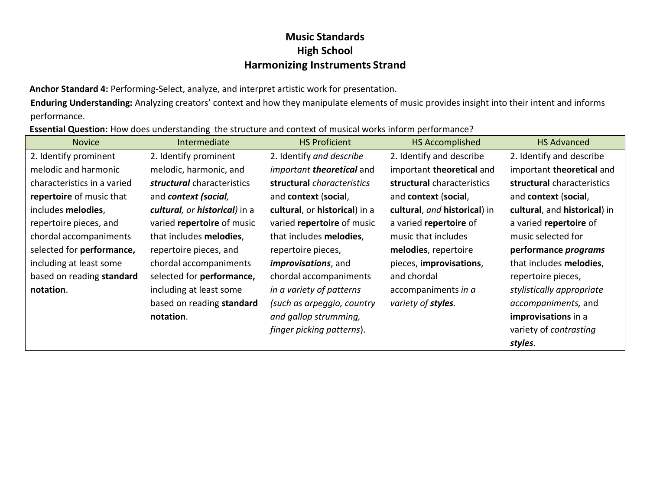**Anchor Standard 4:** Performing-Select, analyze, and interpret artistic work for presentation.

**Enduring Understanding:** Analyzing creators' context and how they manipulate elements of music provides insight into their intent and informs performance.

**Essential Question:** How does understanding the structure and context of musical works inform performance?

| <b>Novice</b>               | Intermediate                  | <b>HS Proficient</b>          | <b>HS Accomplished</b>       | <b>HS Advanced</b>           |
|-----------------------------|-------------------------------|-------------------------------|------------------------------|------------------------------|
| 2. Identify prominent       | 2. Identify prominent         | 2. Identify and describe      | 2. Identify and describe     | 2. Identify and describe     |
| melodic and harmonic        | melodic, harmonic, and        | important theoretical and     | important theoretical and    | important theoretical and    |
| characteristics in a varied | structural characteristics    | structural characteristics    | structural characteristics   | structural characteristics   |
| repertoire of music that    | and context (social,          | and context (social,          | and context (social,         | and context (social,         |
| includes melodies,          | cultural, or historical) in a | cultural, or historical) in a | cultural, and historical) in | cultural, and historical) in |
| repertoire pieces, and      | varied repertoire of music    | varied repertoire of music    | a varied repertoire of       | a varied repertoire of       |
| chordal accompaniments      | that includes melodies,       | that includes melodies,       | music that includes          | music selected for           |
| selected for performance,   | repertoire pieces, and        | repertoire pieces,            | melodies, repertoire         | performance programs         |
| including at least some     | chordal accompaniments        | <i>improvisations</i> , and   | pieces, improvisations,      | that includes melodies,      |
| based on reading standard   | selected for performance,     | chordal accompaniments        | and chordal                  | repertoire pieces,           |
| notation.                   | including at least some       | in a variety of patterns      | accompaniments in a          | stylistically appropriate    |
|                             | based on reading standard     | (such as arpeggio, country    | variety of styles.           | accompaniments, and          |
|                             | notation.                     | and gallop strumming,         |                              | improvisations in a          |
|                             |                               | finger picking patterns).     |                              | variety of contrasting       |
|                             |                               |                               |                              | styles.                      |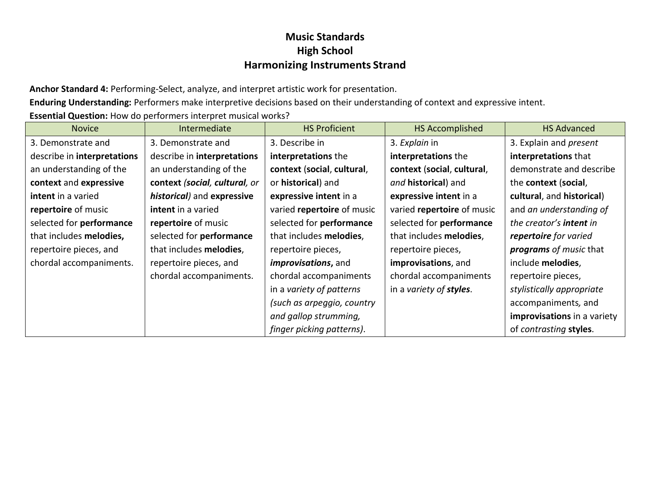**Anchor Standard 4:** Performing-Select, analyze, and interpret artistic work for presentation.

**Enduring Understanding:** Performers make interpretive decisions based on their understanding of context and expressive intent.

**Essential Question:** How do performers interpret musical works?

| <b>Novice</b>               | Intermediate                  | <b>HS Proficient</b>        | <b>HS Accomplished</b>     | <b>HS Advanced</b>             |
|-----------------------------|-------------------------------|-----------------------------|----------------------------|--------------------------------|
| 3. Demonstrate and          | 3. Demonstrate and            | 3. Describe in              | 3. Explain in              | 3. Explain and <i>present</i>  |
| describe in interpretations | describe in interpretations   | interpretations the         | interpretations the        | interpretations that           |
| an understanding of the     | an understanding of the       | context (social, cultural,  | context (social, cultural, | demonstrate and describe       |
| context and expressive      | context (social, cultural, or | or <b>historical</b> ) and  | and historical) and        | the context (social,           |
| intent in a varied          | historical) and expressive    | expressive intent in a      | expressive intent in a     | cultural, and historical)      |
| repertoire of music         | intent in a varied            | varied repertoire of music  | varied repertoire of music | and an understanding of        |
| selected for performance    | repertoire of music           | selected for performance    | selected for performance   | the creator's <b>intent</b> in |
| that includes melodies,     | selected for performance      | that includes melodies,     | that includes melodies,    | repertoire for varied          |
| repertoire pieces, and      | that includes melodies,       | repertoire pieces,          | repertoire pieces,         | programs of music that         |
| chordal accompaniments.     | repertoire pieces, and        | <i>improvisations</i> , and | improvisations, and        | include melodies,              |
|                             | chordal accompaniments.       | chordal accompaniments      | chordal accompaniments     | repertoire pieces,             |
|                             |                               | in a variety of patterns    | in a variety of styles.    | stylistically appropriate      |
|                             |                               | (such as arpeggio, country  |                            | accompaniments, and            |
|                             |                               | and gallop strumming,       |                            | improvisations in a variety    |
|                             |                               | finger picking patterns).   |                            | of contrasting styles.         |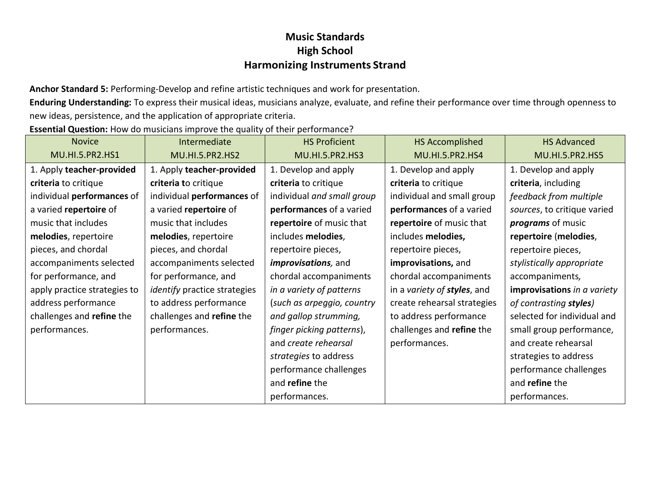**Anchor Standard 5:** Performing-Develop and refine artistic techniques and work for presentation.

**Enduring Understanding:** To express their musical ideas, musicians analyze, evaluate, and refine their performance over time through openness to new ideas, persistence, and the application of appropriate criteria.

**Essential Question:** How do musicians improve the quality of their performance?

| <b>Novice</b>                | Intermediate                        | <b>HS Proficient</b>        | <b>HS Accomplished</b>      | <b>HS Advanced</b>          |
|------------------------------|-------------------------------------|-----------------------------|-----------------------------|-----------------------------|
| <b>MU.HI.5.PR2.HS1</b>       | <b>MU.HI.5.PR2.HS2</b>              | <b>MU.HI.5.PR2.HS3</b>      | <b>MU.HI.5.PR2.HS4</b>      | <b>MU.HI.5.PR2.HS5</b>      |
| 1. Apply teacher-provided    | 1. Apply teacher-provided           | 1. Develop and apply        | 1. Develop and apply        | 1. Develop and apply        |
| criteria to critique         | criteria to critique                | criteria to critique        | criteria to critique        | criteria, including         |
| individual performances of   | individual performances of          | individual and small group  | individual and small group  | feedback from multiple      |
| a varied repertoire of       | a varied repertoire of              | performances of a varied    | performances of a varied    | sources, to critique varied |
| music that includes          | music that includes                 | repertoire of music that    | repertoire of music that    | <i>programs</i> of music    |
| melodies, repertoire         | melodies, repertoire                | includes melodies,          | includes melodies,          | repertoire (melodies,       |
| pieces, and chordal          | pieces, and chordal                 | repertoire pieces,          | repertoire pieces,          | repertoire pieces,          |
| accompaniments selected      | accompaniments selected             | <i>improvisations</i> , and | improvisations, and         | stylistically appropriate   |
| for performance, and         | for performance, and                | chordal accompaniments      | chordal accompaniments      | accompaniments,             |
| apply practice strategies to | <i>identify</i> practice strategies | in a variety of patterns    | in a variety of styles, and | improvisations in a variety |
| address performance          | to address performance              | (such as arpeggio, country  | create rehearsal strategies | of contrasting styles)      |
| challenges and refine the    | challenges and refine the           | and gallop strumming,       | to address performance      | selected for individual and |
| performances.                | performances.                       | finger picking patterns),   | challenges and refine the   | small group performance,    |
|                              |                                     | and create rehearsal        | performances.               | and create rehearsal        |
|                              |                                     | strategies to address       |                             | strategies to address       |
|                              |                                     | performance challenges      |                             | performance challenges      |
|                              |                                     | and refine the              |                             | and refine the              |
|                              |                                     | performances.               |                             | performances.               |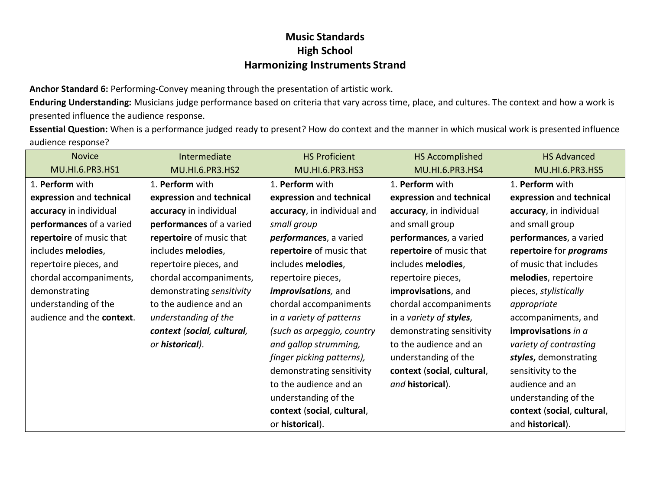**Anchor Standard 6:** Performing-Convey meaning through the presentation of artistic work.

**Enduring Understanding:** Musicians judge performance based on criteria that vary across time, place, and cultures. The context and how a work is presented influence the audience response.

**Essential Question:** When is a performance judged ready to present? How do context and the manner in which musical work is presented influence audience response?

| <b>Novice</b>             | Intermediate               | <b>HS Proficient</b>        | HS Accomplished            | <b>HS Advanced</b>             |
|---------------------------|----------------------------|-----------------------------|----------------------------|--------------------------------|
| MU.HI.6.PR3.HS1           | MU.HI.6.PR3.HS2            | MU.HI.6.PR3.HS3             | MU.HI.6.PR3.HS4            | MU.HI.6.PR3.HS5                |
| 1. Perform with           | 1. Perform with            | 1. Perform with             | 1. Perform with            | 1. Perform with                |
| expression and technical  | expression and technical   | expression and technical    | expression and technical   | expression and technical       |
| accuracy in individual    | accuracy in individual     | accuracy, in individual and | accuracy, in individual    | accuracy, in individual        |
| performances of a varied  | performances of a varied   | small group                 | and small group            | and small group                |
| repertoire of music that  | repertoire of music that   | performances, a varied      | performances, a varied     | performances, a varied         |
| includes melodies,        | includes melodies,         | repertoire of music that    | repertoire of music that   | repertoire for <i>programs</i> |
| repertoire pieces, and    | repertoire pieces, and     | includes melodies,          | includes melodies,         | of music that includes         |
| chordal accompaniments,   | chordal accompaniments,    | repertoire pieces,          | repertoire pieces,         | melodies, repertoire           |
| demonstrating             | demonstrating sensitivity  | <i>improvisations</i> , and | improvisations, and        | pieces, stylistically          |
| understanding of the      | to the audience and an     | chordal accompaniments      | chordal accompaniments     | appropriate                    |
| audience and the context. | understanding of the       | in a variety of patterns    | in a variety of styles,    | accompaniments, and            |
|                           | context (social, cultural, | (such as arpeggio, country  | demonstrating sensitivity  | improvisations in a            |
|                           | or historical).            | and gallop strumming,       | to the audience and an     | variety of contrasting         |
|                           |                            | finger picking patterns),   | understanding of the       | styles, demonstrating          |
|                           |                            | demonstrating sensitivity   | context (social, cultural, | sensitivity to the             |
|                           |                            | to the audience and an      | and historical).           | audience and an                |
|                           |                            | understanding of the        |                            | understanding of the           |
|                           |                            | context (social, cultural,  |                            | context (social, cultural,     |
|                           |                            | or historical).             |                            | and historical).               |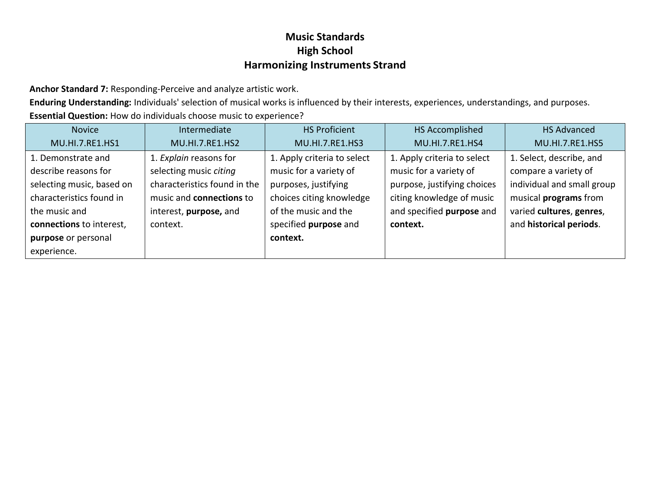**Anchor Standard 7:** Responding-Perceive and analyze artistic work.

**Enduring Understanding:** Individuals' selection of musical works is influenced by their interests, experiences, understandings, and purposes. **Essential Question:** How do individuals choose music to experience?

| <b>Novice</b>             | Intermediate                    | <b>HS Proficient</b>        | HS Accomplished             | <b>HS Advanced</b>         |
|---------------------------|---------------------------------|-----------------------------|-----------------------------|----------------------------|
| MU.HI.7.RE1.HS1           | MU.HI.7.RE1.HS2                 | MU.HI.7.RE1.HS3             | MU.HI.7.RE1.HS4             | MU.HI.7.RE1.HS5            |
| 1. Demonstrate and        | 1. Explain reasons for          | 1. Apply criteria to select | 1. Apply criteria to select | 1. Select, describe, and   |
| describe reasons for      | selecting music citing          | music for a variety of      | music for a variety of      | compare a variety of       |
| selecting music, based on | characteristics found in the    | purposes, justifying        | purpose, justifying choices | individual and small group |
| characteristics found in  | music and <b>connections</b> to | choices citing knowledge    | citing knowledge of music   | musical programs from      |
| the music and             | interest, purpose, and          | of the music and the        | and specified purpose and   | varied cultures, genres,   |
| connections to interest,  | context.                        | specified purpose and       | context.                    | and historical periods.    |
| purpose or personal       |                                 | context.                    |                             |                            |
| experience.               |                                 |                             |                             |                            |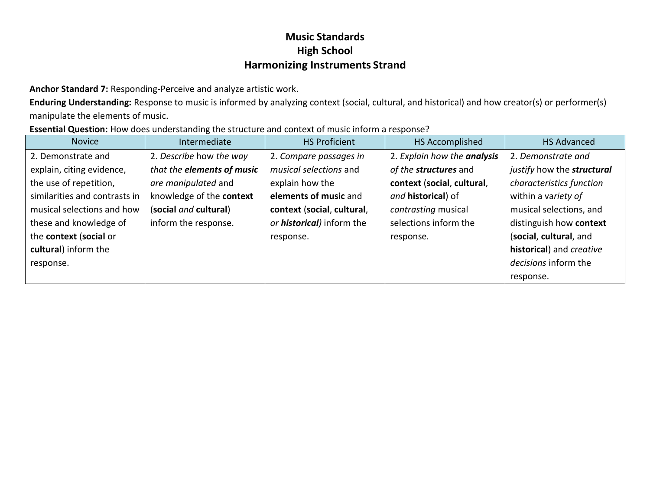**Anchor Standard 7:** Responding-Perceive and analyze artistic work.

**Enduring Understanding:** Response to music is informed by analyzing context (social, cultural, and historical) and how creator(s) or performer(s) manipulate the elements of music.

| Essential Question: How does understanding the structure and context of music inform a response? |  |
|--------------------------------------------------------------------------------------------------|--|
|--------------------------------------------------------------------------------------------------|--|

| <b>Novice</b>                 | Intermediate               | <b>HS Proficient</b>              | HS Accomplished             | <b>HS Advanced</b>         |
|-------------------------------|----------------------------|-----------------------------------|-----------------------------|----------------------------|
| 2. Demonstrate and            | 2. Describe how the way    | 2. Compare passages in            | 2. Explain how the analysis | 2. Demonstrate and         |
| explain, citing evidence,     | that the elements of music | musical selections and            | of the structures and       | justify how the structural |
| the use of repetition,        | are manipulated and        | explain how the                   | context (social, cultural,  | characteristics function   |
| similarities and contrasts in | knowledge of the context   | elements of music and             | and <b>historical</b> ) of  | within a variety of        |
| musical selections and how    | (social and cultural)      | context (social, cultural,        | contrasting musical         | musical selections, and    |
| these and knowledge of        | inform the response.       | or <b>historical</b> ) inform the | selections inform the       | distinguish how context    |
| the context (social or        |                            | response.                         | response.                   | (social, cultural, and     |
| cultural) inform the          |                            |                                   |                             | historical) and creative   |
| response.                     |                            |                                   |                             | decisions inform the       |
|                               |                            |                                   |                             | response.                  |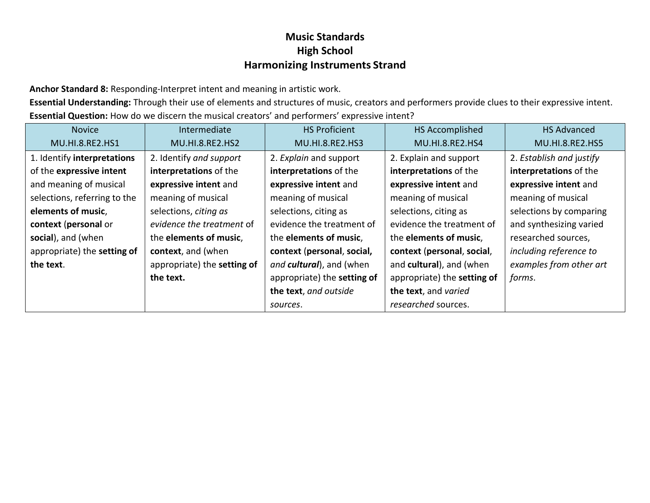**Anchor Standard 8:** Responding-Interpret intent and meaning in artistic work.

**Essential Understanding:** Through their use of elements and structures of music, creators and performers provide clues to their expressive intent. **Essential Question:** How do we discern the musical creators' and performers' expressive intent?

| <b>Novice</b>                | Intermediate                | <b>HS Proficient</b>        | HS Accomplished             | <b>HS Advanced</b>       |
|------------------------------|-----------------------------|-----------------------------|-----------------------------|--------------------------|
| MU.HI.8.RE2.HS1              | <b>MU.HI.8.RE2.HS2</b>      | MU.HI.8.RE2.HS3             | MU.HI.8.RE2.HS4             | <b>MU.HI.8.RE2.HS5</b>   |
| 1. Identify interpretations  | 2. Identify and support     | 2. Explain and support      | 2. Explain and support      | 2. Establish and justify |
| of the expressive intent     | interpretations of the      | interpretations of the      | interpretations of the      | interpretations of the   |
| and meaning of musical       | expressive intent and       | expressive intent and       | expressive intent and       | expressive intent and    |
| selections, referring to the | meaning of musical          | meaning of musical          | meaning of musical          | meaning of musical       |
| elements of music,           | selections, citing as       | selections, citing as       | selections, citing as       | selections by comparing  |
| context (personal or         | evidence the treatment of   | evidence the treatment of   | evidence the treatment of   | and synthesizing varied  |
| social), and (when           | the elements of music,      | the elements of music,      | the elements of music,      | researched sources,      |
| appropriate) the setting of  | context, and (when          | context (personal, social,  | context (personal, social,  | including reference to   |
| the text.                    | appropriate) the setting of | and cultural), and (when    | and cultural), and (when    | examples from other art  |
|                              | the text.                   | appropriate) the setting of | appropriate) the setting of | forms.                   |
|                              |                             | the text, and outside       | the text, and varied        |                          |
|                              |                             | sources.                    | researched sources.         |                          |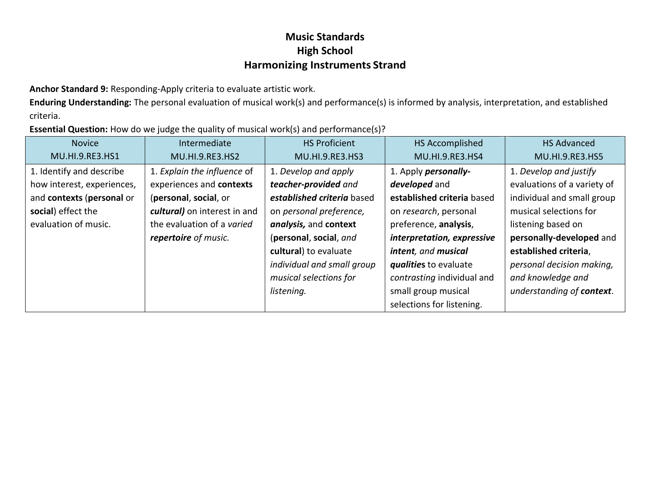**Anchor Standard 9:** Responding-Apply criteria to evaluate artistic work.

**Enduring Understanding:** The personal evaluation of musical work(s) and performance(s) is informed by analysis, interpretation, and established criteria.

**Essential Question:** How do we judge the quality of musical work(s) and performance(s)?

| <b>Novice</b>              | Intermediate                 | <b>HS Proficient</b>       | HS Accomplished              | <b>HS Advanced</b>          |
|----------------------------|------------------------------|----------------------------|------------------------------|-----------------------------|
| MU.HI.9.RE3.HS1            | MU.HI.9.RE3.HS2              | MU.HI.9.RE3.HS3            | MU.HI.9.RE3.HS4              | MU.HI.9.RE3.HS5             |
| 1. Identify and describe   | 1. Explain the influence of  | 1. Develop and apply       | 1. Apply <i>personally</i> - | 1. Develop and justify      |
| how interest, experiences, | experiences and contexts     | teacher-provided and       | developed and                | evaluations of a variety of |
| and contexts (personal or  | (personal, social, or        | established criteria based | established criteria based   | individual and small group  |
| social) effect the         | cultural) on interest in and | on personal preference,    | on research, personal        | musical selections for      |
| evaluation of music.       | the evaluation of a varied   | analysis, and context      | preference, analysis,        | listening based on          |
|                            | repertoire of music.         | (personal, social, and     | interpretation, expressive   | personally-developed and    |
|                            |                              | cultural) to evaluate      | intent, and musical          | established criteria,       |
|                            |                              | individual and small group | qualities to evaluate        | personal decision making,   |
|                            |                              | musical selections for     | contrasting individual and   | and knowledge and           |
|                            |                              | listening.                 | small group musical          | understanding of context.   |
|                            |                              |                            | selections for listening.    |                             |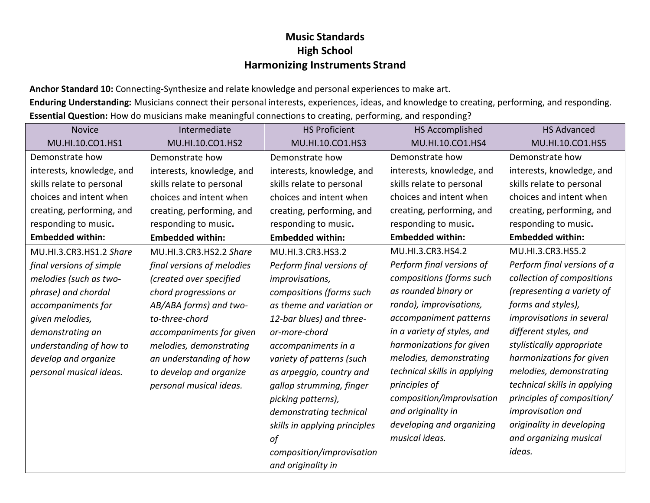**Anchor Standard 10:** Connecting-Synthesize and relate knowledge and personal experiences to make art.

**Enduring Understanding:** Musicians connect their personal interests, experiences, ideas, and knowledge to creating, performing, and responding. **Essential Question:** How do musicians make meaningful connections to creating, performing, and responding?

| <b>Novice</b>             | Intermediate               | <b>HS Proficient</b>          | <b>HS Accomplished</b>       | <b>HS Advanced</b>           |
|---------------------------|----------------------------|-------------------------------|------------------------------|------------------------------|
| MU.HI.10.CO1.HS1          | MU.HI.10.CO1.HS2           | MU.HI.10.CO1.HS3              | MU.HI.10.CO1.HS4             | MU.HI.10.CO1.HS5             |
| Demonstrate how           | Demonstrate how            | Demonstrate how               | Demonstrate how              | Demonstrate how              |
| interests, knowledge, and | interests, knowledge, and  | interests, knowledge, and     | interests, knowledge, and    | interests, knowledge, and    |
| skills relate to personal | skills relate to personal  | skills relate to personal     | skills relate to personal    | skills relate to personal    |
| choices and intent when   | choices and intent when    | choices and intent when       | choices and intent when      | choices and intent when      |
| creating, performing, and | creating, performing, and  | creating, performing, and     | creating, performing, and    | creating, performing, and    |
| responding to music.      | responding to music.       | responding to music.          | responding to music.         | responding to music.         |
| <b>Embedded within:</b>   | <b>Embedded within:</b>    | <b>Embedded within:</b>       | <b>Embedded within:</b>      | <b>Embedded within:</b>      |
| MU.HI.3.CR3.HS1.2 Share   | MU.HI.3.CR3.HS2.2 Share    | MU.HI.3.CR3.HS3.2             | MU.HI.3.CR3.HS4.2            | MU.HI.3.CR3.HS5.2            |
| final versions of simple  | final versions of melodies | Perform final versions of     | Perform final versions of    | Perform final versions of a  |
| melodies (such as two-    | (created over specified    | improvisations,               | compositions (forms such     | collection of compositions   |
| phrase) and chordal       | chord progressions or      | compositions (forms such      | as rounded binary or         | (representing a variety of   |
| accompaniments for        | AB/ABA forms) and two-     | as theme and variation or     | rondo), improvisations,      | forms and styles),           |
| given melodies,           | to-three-chord             | 12-bar blues) and three-      | accompaniment patterns       | improvisations in several    |
| demonstrating an          | accompaniments for given   | or-more-chord                 | in a variety of styles, and  | different styles, and        |
| understanding of how to   | melodies, demonstrating    | accompaniments in a           | harmonizations for given     | stylistically appropriate    |
| develop and organize      | an understanding of how    | variety of patterns (such     | melodies, demonstrating      | harmonizations for given     |
| personal musical ideas.   | to develop and organize    | as arpeggio, country and      | technical skills in applying | melodies, demonstrating      |
|                           | personal musical ideas.    | gallop strumming, finger      | principles of                | technical skills in applying |
|                           |                            | picking patterns),            | composition/improvisation    | principles of composition/   |
|                           |                            | demonstrating technical       | and originality in           | improvisation and            |
|                           |                            | skills in applying principles | developing and organizing    | originality in developing    |
|                           |                            | of                            | musical ideas.               | and organizing musical       |
|                           |                            | composition/improvisation     |                              | ideas.                       |
|                           |                            | and originality in            |                              |                              |